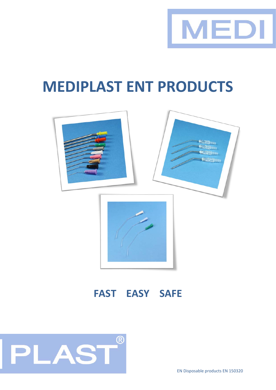

# **MEDIPLAST ENT PRODUCTS**



### **FAST EASY SAFE**



EN Disposable products EN 150320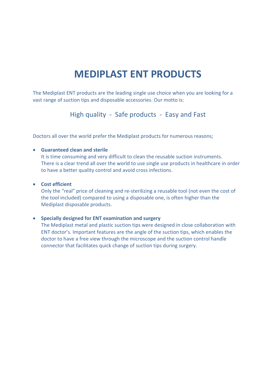### **MEDIPLAST ENT PRODUCTS**

The Mediplast ENT products are the leading single use choice when you are looking for a vast range of suction tips and disposable accessories. Our motto is:

High quality - Safe products - Easy and Fast

Doctors all over the world prefer the Mediplast products for numerous reasons;

#### • **Guaranteed clean and sterile**

It is time consuming and very difficult to clean the reusable suction instruments. There is a clear trend all over the world to use single use products in healthcare in order to have a better quality control and avoid cross infections.

#### • **Cost efficient**

Only the "real" price of cleaning and re-sterilizing a reusable tool (not even the cost of the tool included) compared to using a disposable one, is often higher than the Mediplast disposable products.

#### • **Specially designed for ENT examination and surgery**

The Mediplast metal and plastic suction tips were designed in close collaboration with ENT doctor's. Important features are the angle of the suction tips, which enables the doctor to have a free view through the microscope and the suction control handle connector that facilitates quick change of suction tips during surgery.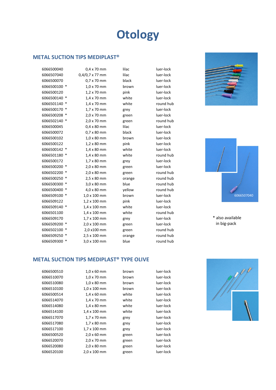## **Otology**

#### **METAL SUCTION TIPS MEDIPLAST®**

| 6066500040   |        | $0.4 \times 70$ mm  | lilac  | luer-lock |
|--------------|--------|---------------------|--------|-----------|
| 6066507040   |        | 0,4/0,7 x 77 mm     | lilac  | luer-lock |
| 6066500070   |        | $0.7 \times 70$ mm  | black  | luer-lock |
| 6066500100 * |        | $1.0 \times 70$ mm  | brown  | luer-lock |
| 6066500120   |        | 1,2 x 70 mm         | pink   | luer-lock |
| 6066500140 * |        | 1,4 x 70 mm         | white  | luer-lock |
| 6066501140 * |        | 1,4 x 70 mm         | white  | round hub |
| 6066500170 * |        | 1,7 x 70 mm         | grey   | luer-lock |
| 6066500208   |        | 2,0 x 70 mm         | green  | luer-lock |
| 6066502140 * |        | 2,0 x 70 mm         | green  | round hub |
| 6066500045   |        | $0.4 \times 80$ mm  | lilac  | luer-lock |
| 6066500072   |        | $0.7 \times 80$ mm  | black  | luer-lock |
| 6066500102   |        | 1,0 x 80 mm         | brown  | luer-lock |
| 6066500122   |        | 1,2 x 80 mm         | pink   | luer-lock |
| 6066500142 * |        | 1,4 x 80 mm         | white  | luer-lock |
| 6066501180 * |        | 1,4 x 80 mm         | white  | round hub |
| 6066500172   |        | 1,7 x 80 mm         | grey   | luer-lock |
| 6066500200 * |        | 2,0 x 80 mm         | green  | luer-lock |
| 6066502200   |        | 2,0 x 80 mm         | green  | round hub |
| 6066500250 * |        | 2,5 x 80 mm         | orange | round hub |
| 6066500300   |        | 3,0 x 80 mm         | blue   | round hub |
| 6066500400 * |        | 4,0 x 80 mm         | yellow | round hub |
| 6066509100 * |        | $1,0 \times 100$ mm | brown  | luer-lock |
| 6066509122   |        | 1,2 x 100 mm        | pink   | luer-lock |
| 6066509140 * |        | 1,4 x 100 mm        | white  | luer-lock |
| 6066501100   |        | 1,4 x 100 mm        | white  | round hub |
| 6066509170   |        | 1,7 x 100 mm        | grey   | luer-lock |
| 6066509200 * |        | 2,0 x 100 mm        | green  | luer-lock |
| 6066502100   |        | 2,0 x100 mm         | green  | round hub |
| 6066509250   | $\ast$ | 2,5 x 100 mm        | orange | round hub |
| 6066509300   |        | 3,0 x 100 mm        | blue   | round hub |
|              |        |                     |        |           |





\* also available in big-pack

#### **METAL SUCTION TIPS MEDIPLAST® TYPE OLIVE**

| 6066500510 | $1.0 \times 60$ mm  | brown | luer-lock |
|------------|---------------------|-------|-----------|
| 6066510070 | $1.0 \times 70$ mm  | brown | luer-lock |
| 6066510080 | $1,0 \times 80$ mm  | brown | luer-lock |
| 6066510100 | $1,0 \times 100$ mm | brown | luer-lock |
| 6066500514 | $1,4 \times 60$ mm  | white | luer-lock |
| 6066514070 | $1,4 \times 70$ mm  | white | luer-lock |
| 6066514080 | 1,4 x 80 mm         | white | luer-lock |
| 6066514100 | 1,4 x 100 mm        | white | luer-lock |
| 6066517070 | 1,7 x 70 mm         | grey  | luer-lock |
| 6066517080 | 1,7 x 80 mm         | grey  | luer-lock |
| 6066517100 | 1,7 x 100 mm        | grey  | luer-lock |
| 6066500520 | $2,0 \times 60$ mm  | green | luer-lock |
| 6066520070 | $2.0 \times 70$ mm  | green | luer-lock |
| 6066520080 | $2,0 \times 80$ mm  | green | luer-lock |
| 6066520100 | 2,0 x 100 mm        | green | luer-lock |
|            |                     |       |           |

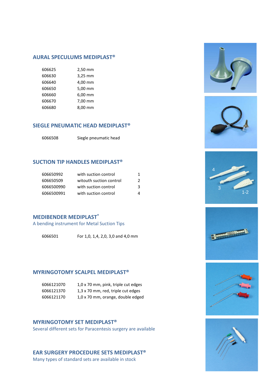#### **AURAL SPECULUMS MEDIPLAST®**

| 606625 | 2,50 mm |
|--------|---------|
| 606630 | 3,25 mm |
| 606640 | 4,00 mm |
| 606650 | 5,00 mm |
| 606660 | 6,00 mm |
| 606670 | 7,00 mm |
| 606680 | 8,00 mm |

#### **SIEGLE PNEUMATIC HEAD MEDIPLAST®**

| 6066508 | Siegle pneumatic head |
|---------|-----------------------|
|---------|-----------------------|

#### **SUCTION TIP HANDLES MEDIPLAST®**

| 606650992  | with suction control    |   |
|------------|-------------------------|---|
| 606650509  | witouth suction control | 2 |
| 6066500990 | with suction control    | ર |
| 6066500991 | with suction control    |   |

#### **MEDIBENDER MEDIPLAST®**

A bending instrument for Metal Suction Tips

For 1,0, 1,4, 2,0, 3,0 and 4,0 mm

#### **MYRINGOTOMY SCALPEL MEDIPLAST®**

| 6066121070 | 1,0 x 70 mm, pink, triple cut edges |
|------------|-------------------------------------|
| 6066121370 | 1,3 x 70 mm, red, triple cut edges  |
| 6066121170 | 1,0 x 70 mm, orange, double edged   |

#### **MYRINGOTOMY SET MEDIPLAST®**

Several different sets for Paracentesis surgery are available

#### **EAR SURGERY PROCEDURE SETS MEDIPLAST®**

Many types of standard sets are available in stock











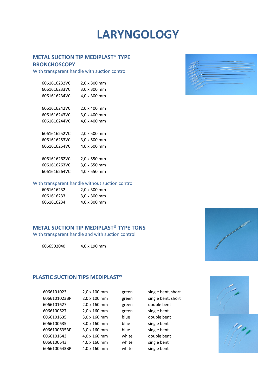### **LARYNGOLOGY**

#### **METAL SUCTION TIP MEDIPLAST® TYPE**

#### **BRONCHOSCOPY**

With transparent handle with suction control

| 6061616232VC | 2,0 x 300 mm |
|--------------|--------------|
| 6061616233VC | 3,0 x 300 mm |
| 6061616234VC | 4,0 x 300 mm |
|              |              |
| 6061616242VC | 2,0 x 400 mm |
| 6061616243VC | 3,0 x 400 mm |
| 6061616244VC | 4,0 x 400 mm |
|              |              |
| 6061616252VC | 2,0 x 500 mm |
| 6061616253VC | 3,0 x 500 mm |
| 6061616254VC | 4.0 x 500 mm |
|              |              |
| 6061616262VC | 2,0 x 550 mm |
| 6061616263VC | 3,0 x 550 mm |
| 6061616264VC | 4,0 x 550 mm |

#### With transparent handle without suction control

| 6061616232 | $2.0 \times 300$ mm |
|------------|---------------------|
| 6061616233 | $3.0 \times 300$ mm |
| 6061616234 | 4,0 x 300 mm        |

#### **METAL SUCTION TIP MEDIPLAST® TYPE TONS**

With transparent handle and with suction control

6066502040 4,0 x 190 mm

#### **PLASTIC SUCTION TIPS MEDIPLAST®**

| 6066101023   | 2,0 x 100 mm | green | single bent, short |
|--------------|--------------|-------|--------------------|
| 6066101023BP | 2,0 x 100 mm | green | single bent, short |
| 6066101627   | 2,0 x 160 mm | green | double bent        |
| 6066100627   | 2,0 x 160 mm | green | single bent        |
| 6066101635   | 3,0 x 160 mm | blue  | double bent        |
| 6066100635   | 3,0 x 160 mm | blue  | single bent        |
| 6066100635BP | 3,0 x 160 mm | blue  | single bent        |
| 6066101643   | 4,0 x 160 mm | white | double bent        |
| 6066100643   | 4,0 x 160 mm | white | single bent        |
| 6066100643BP | 4,0 x 160 mm | white | single bent        |





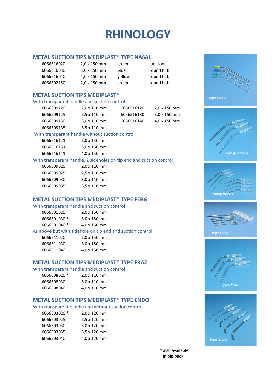### **RHINOLOGY**

#### **METAL SUCTION TIPS MEDIPLAST® TYPE NASAL**

| 6066516020 | $2.0 \times 150$ mm | green  | luer-lock |
|------------|---------------------|--------|-----------|
| 6066516030 | $3.0 \times 150$ mm | blue   | round hub |
| 6066516040 | $4.0 \times 150$ mm | vellow | round hub |
| 6066502150 | $2.0 \times 150$ mm | green  | round hub |

#### **METAL SUCTION TIPS MEDIPLAST®**

#### With transparant handle and suction control

| 6066509120 | $2.0 \times 110$ mm | 6066516120 | $2.0 \times 150$ mm |
|------------|---------------------|------------|---------------------|
| 6066509125 | $2.5 \times 110$ mm | 6066516130 | $3.0 \times 150$ mm |
| 6066509130 | $3.0 \times 110$ mm | 6066516140 | 4,0 x 150 mm        |
| 6066509135 | $3.5 \times 110$ mm |            |                     |
|            |                     |            |                     |

#### With transparant handle without suction control

| 6066516121 | $2.0 \times 150$ mm |
|------------|---------------------|
| 6066516131 | $3.0 \times 150$ mm |
| 6066516141 | 4,0 x 150 mm        |

#### With transparent handle, 2 sideholes on tip end and suction control<br>6066509020  $2.0 \times 110 \text{ mm}$

| pubbsuyuzu | <b>2.0 X 110 MM</b>         |
|------------|-----------------------------|
| 6066509025 | $2.5 \times 110 \text{ mm}$ |
| 6066509030 | $3.0 \times 110$ mm         |
| 6066509035 | $3.5 \times 110$ mm         |

#### **METAL SUCTION TIPS MEDIPLAST® TYPE FERG**

#### With transparent handle and suction control

| 6066501020   | $2.0 \times 150$ mm |
|--------------|---------------------|
| 6066501030 * | $3.0 \times 150$ mm |
| 6066501040 * | 4,0 x 150 mm        |

#### As above but with sidehole on tip end and suction control

| 6066511020 | $2.0 \times 150$ mm |
|------------|---------------------|
| 6066511030 | $3.0 \times 150$ mm |
| 6066511040 | 4,0 x 150 mm        |

#### **METAL SUCTION TIPS MEDIPLAST® TYPE FRAZ**

#### With transparent handle and suction control

| 6066508020 * | $2.0 \times 110 \text{ mm}$ |
|--------------|-----------------------------|
| 6066508030   | $3.0 \times 110$ mm         |
| 6066508040   | 4,0 x 110 mm                |

#### **METAL SUCTION TIPS MEDIPLAST® TYPE ENDO**

#### With transparent handle and without suction control

| 2,0 x 120 mm |
|--------------|
| 2,5 x 120 mm |
| 3,0 x 120 mm |
| 3,5 x 120 mm |
| 4,0 x 120 mm |
|              |



\* also available in big-pack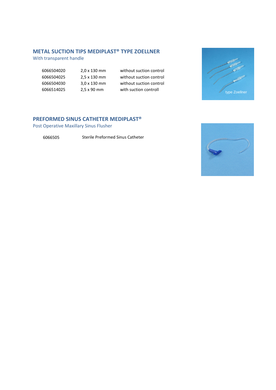#### **METAL SUCTION TIPS MEDIPLAST® TYPE ZOELLNER**

With transparent handle

| 6066504020 | 2,  |
|------------|-----|
| 6066504025 | 2,5 |
| 6066504030 | 3,  |
| 6066514025 | 2,5 |

 2,0 x 130 mm without suction control 2,5 x 130 mm without suction control 3,0 x 130 mm without suction control 5 x 90 mm with suction controll



#### **PREFORMED SINUS CATHETER MEDIPLAST®**

Post Operative Maxillary Sinus Flusher

6066505 Sterile Preformed Sinus Catheter